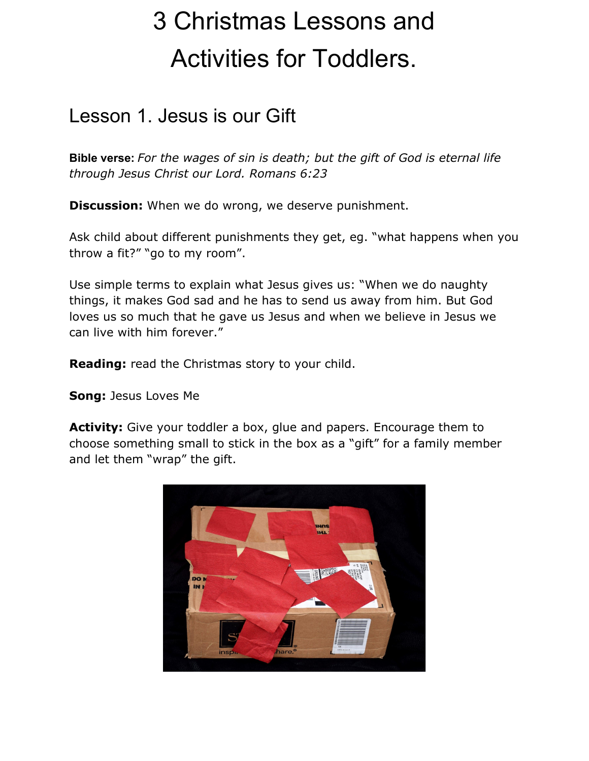#### Lesson 1. Jesus is our Gift

**Bible verse:** *For the wages of sin is death; but the gift of God is eternal life through Jesus Christ our Lord. Romans 6:23*

**Discussion:** When we do wrong, we deserve punishment.

Ask child about different punishments they get, eg. "what happens when you throw a fit?" "go to my room".

Use simple terms to explain what Jesus gives us: "When we do naughty things, it makes God sad and he has to send us away from him. But God loves us so much that he gave us Jesus and when we believe in Jesus we can live with him forever."

**Reading:** read the Christmas story to your child.

**Song:** Jesus Loves Me

Activity: Give your toddler a box, glue and papers. Encourage them to choose something small to stick in the box as a "gift" for a family member and let them "wrap" the gift.

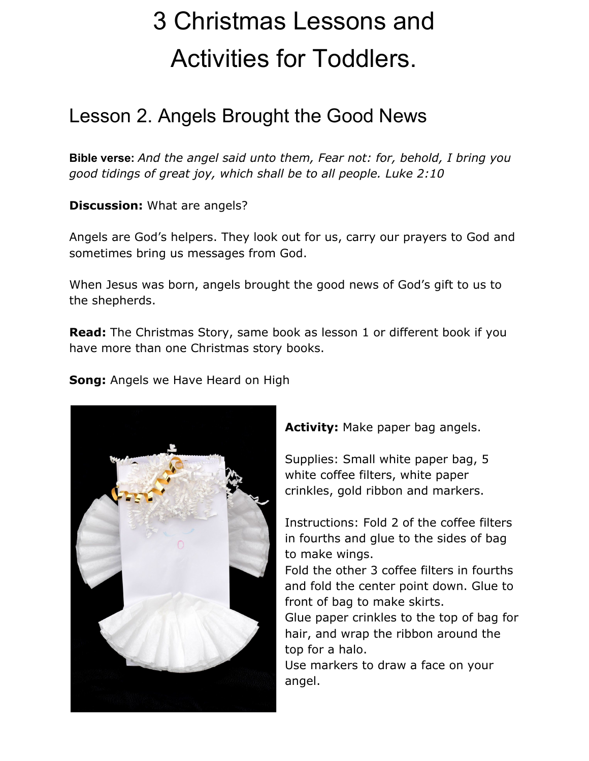#### Lesson 2. Angels Brought the Good News

**Bible verse:** *And the angel said unto them, Fear not: for, behold, I bring you good tidings of great joy, which shall be to all people. Luke 2:10*

**Discussion:** What are angels?

Angels are God's helpers. They look out for us, carry our prayers to God and sometimes bring us messages from God.

When Jesus was born, angels brought the good news of God's gift to us to the shepherds.

**Read:** The Christmas Story, same book as lesson 1 or different book if you have more than one Christmas story books.

**Song:** Angels we Have Heard on High



**Activity:** Make paper bag angels.

Supplies: Small white paper bag, 5 white coffee filters, white paper crinkles, gold ribbon and markers.

Instructions: Fold 2 of the coffee filters in fourths and glue to the sides of bag to make wings.

Fold the other 3 coffee filters in fourths and fold the center point down. Glue to front of bag to make skirts.

Glue paper crinkles to the top of bag for hair, and wrap the ribbon around the top for a halo.

Use markers to draw a face on your angel.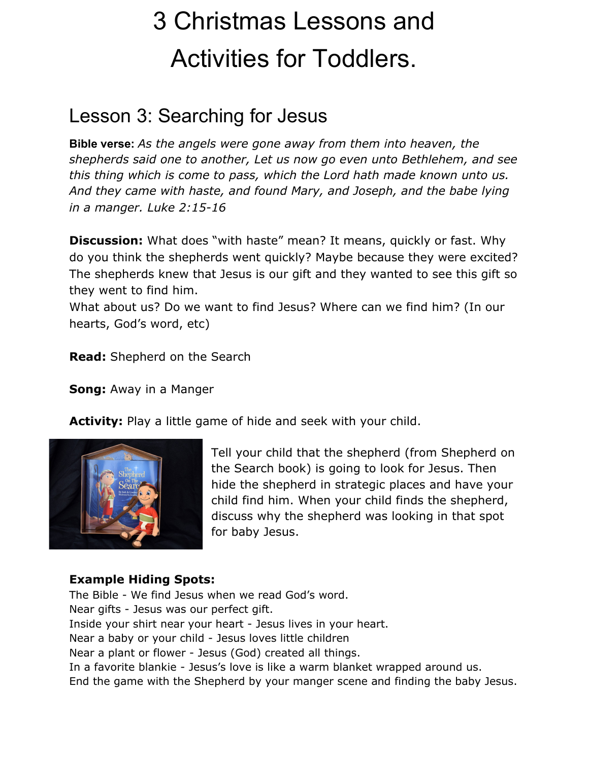#### Lesson 3: Searching for Jesus

**Bible verse:** *As the angels were gone away from them into heaven, the shepherds said one to another, Let us now go even unto Bethlehem, and see this thing which is come to pass, which the Lord hath made known unto us. And they came with haste, and found Mary, and Joseph, and the babe lying in a manger. Luke 2:15-16*

**Discussion:** What does "with haste" mean? It means, quickly or fast. Why do you think the shepherds went quickly? Maybe because they were excited? The shepherds knew that Jesus is our gift and they wanted to see this gift so they went to find him.

What about us? Do we want to find Jesus? Where can we find him? (In our hearts, God's word, etc)

**Read:** Shepherd on the Search

**Song:** Away in a Manger

**Activity:** Play a little game of hide and seek with your child.



Tell your child that the shepherd (from Shepherd on the Search book) is going to look for Jesus. Then hide the shepherd in strategic places and have your child find him. When your child finds the shepherd, discuss why the shepherd was looking in that spot for baby Jesus.

#### **Example Hiding Spots:**

The Bible - We find Jesus when we read God's word. Near gifts - Jesus was our perfect gift. Inside your shirt near your heart - Jesus lives in your heart. Near a baby or your child - Jesus loves little children Near a plant or flower - Jesus (God) created all things. In a favorite blankie - Jesus's love is like a warm blanket wrapped around us. End the game with the Shepherd by your manger scene and finding the baby Jesus.